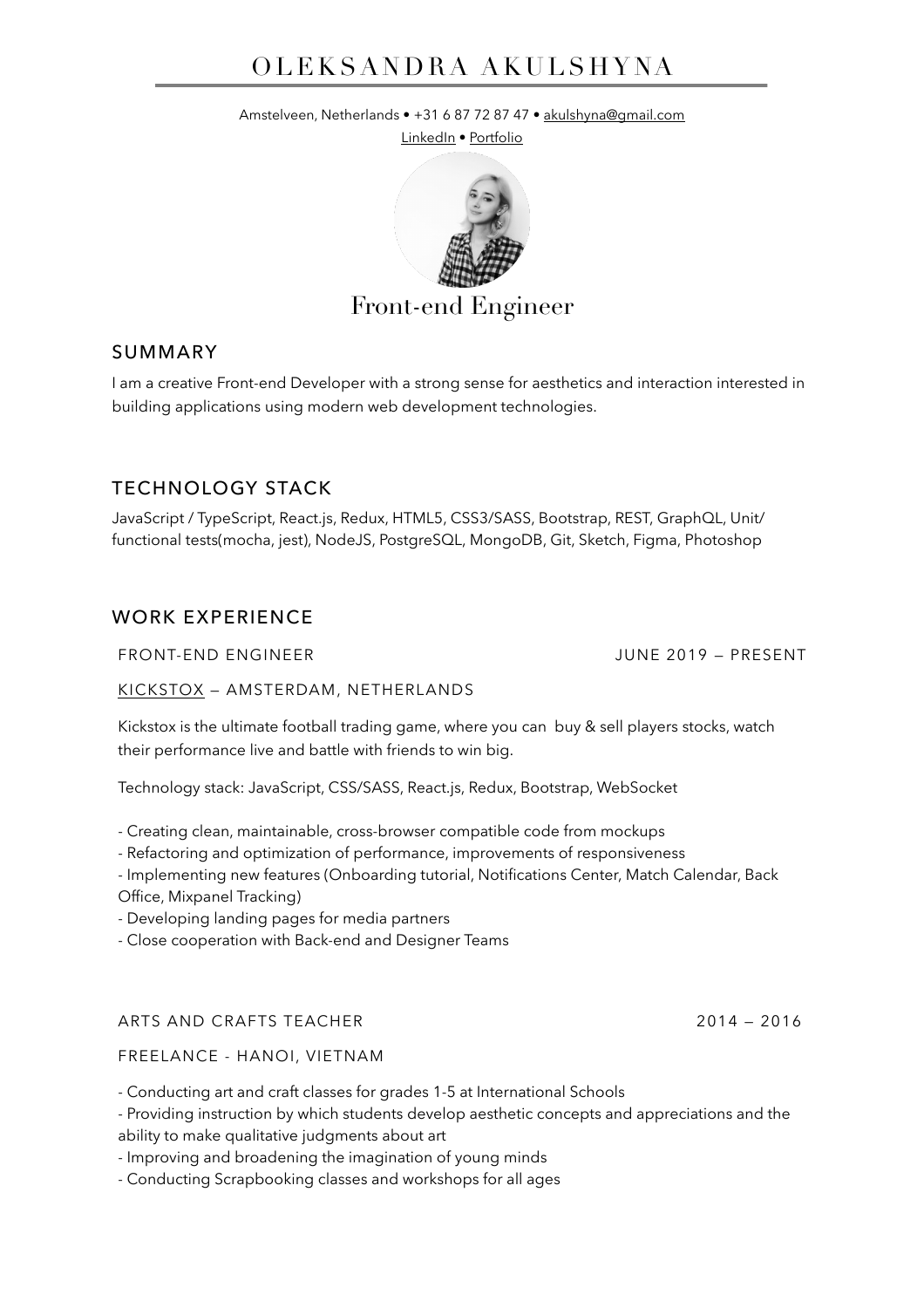# OLEKSANDRA AKULSHYNA

Amstelveen, Netherlands • +31 6 87 72 87 47 • [akulshyna@gmail.com](mailto:akulshyna@gmail.com)

[LinkedIn](http://www.linkedin.com/in/akulshyna) · [Portfolio](http://www.akulshyna.com/)



# Front-end Engineer

# SUMMARY

I am a creative Front-end Developer with a strong sense for aesthetics and interaction interested in building applications using modern web development technologies.

# TECHNOLOGY STACK

JavaScript / TypeScript, React.js, Redux, HTML5, CSS3/SASS, Bootstrap, REST, GraphQL, Unit/ functional tests(mocha, jest), NodeJS, PostgreSQL, MongoDB, Git, Sketch, Figma, Photoshop

# WORK EXPERIENCE

FRONT-END ENGINEER JUNE 2019 — PRESENT

### [KICKSTOX](http://www.kickstox.com) — AMSTERDAM, NETHERLANDS

Kickstox is the ultimate football trading game, where you can buy & sell players stocks, watch their performance live and battle with friends to win big.

Technology stack: JavaScript, CSS/SASS, React.js, Redux, Bootstrap, WebSocket

- Creating clean, maintainable, cross-browser compatible code from mockups

- Refactoring and optimization of performance, improvements of responsiveness
- Implementing new features (Onboarding tutorial, Notifications Center, Match Calendar, Back
- Office, Mixpanel Tracking)
- Developing landing pages for media partners
- Close cooperation with Back-end and Designer Teams

### ARTS AND CRAFTS TEACHER 2014 — 2016

FREELANCE - HANOI, VIETNAM

- Conducting art and craft classes for grades 1-5 at International Schools

- Providing instruction by which students develop aesthetic concepts and appreciations and the ability to make qualitative judgments about art

- Improving and broadening the imagination of young minds

- Conducting Scrapbooking classes and workshops for all ages